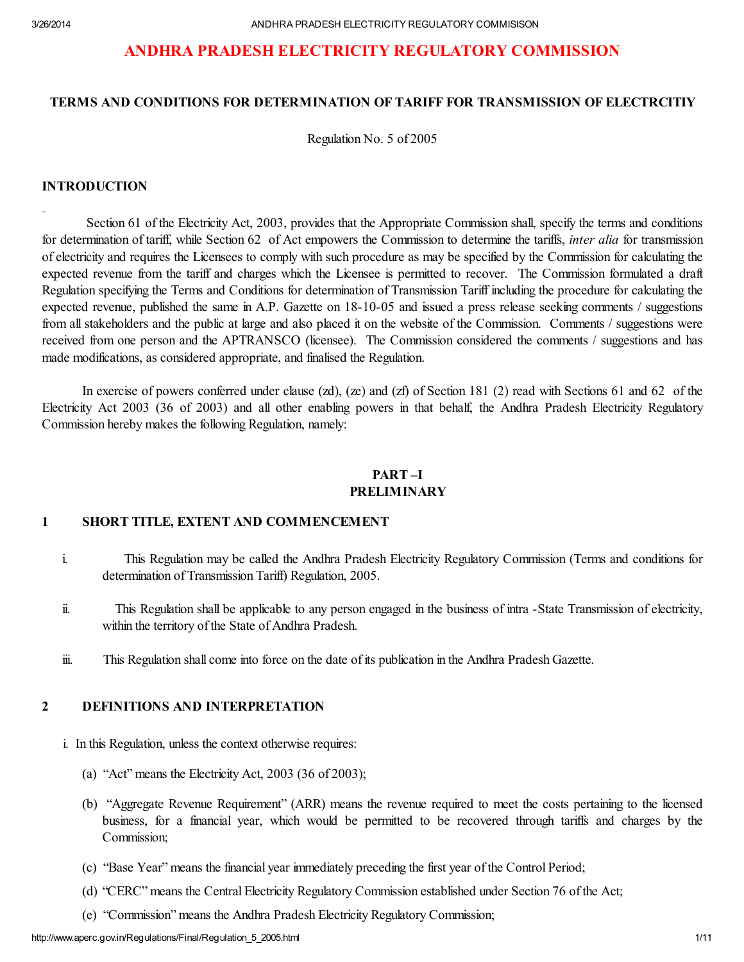# ANDHRA PRADESH ELECTRICITY REGULATORY COMMISSION

#### TERMS AND CONDITIONS FOR DETERMINATION OF TARIFF FOR TRANSMISSION OF ELECTRCITIY

Regulation No. 5 of 2005

#### INTRODUCTION

Section 61 of the Electricity Act, 2003, provides that the Appropriate Commission shall, specify the terms and conditions for determination of tariff, while Section 62 of Act empowers the Commission to determine the tariffs, *inter alia* for transmission of electricity and requires the Licensees to comply with such procedure as may be specified by the Commission for calculating the expected revenue from the tariff and charges which the Licensee is permitted to recover. The Commission formulated a draft Regulation specifying the Terms and Conditions for determination of Transmission Tariff including the procedure for calculating the expected revenue, published the same in A.P. Gazette on 18-10-05 and issued a press release seeking comments / suggestions from all stakeholders and the public at large and also placed it on the website of the Commission. Comments / suggestions were received from one person and the APTRANSCO (licensee). The Commission considered the comments / suggestions and has made modifications, as considered appropriate, and finalised the Regulation.

In exercise of powers conferred under clause (zd), (ze) and (zf) of Section 181 (2) read with Sections 61 and 62 of the Electricity Act 2003 (36 of 2003) and all other enabling powers in that behalf, the Andhra Pradesh Electricity Regulatory Commission hereby makes the following Regulation, namely:

#### PART –I PRELIMINARY

#### 1 SHORT TITLE, EXTENT AND COMMENCEMENT

- i. This Regulation may be called the Andhra Pradesh Electricity Regulatory Commission (Terms and conditions for determination of Transmission Tariff) Regulation, 2005.
- ii. This Regulation shall be applicable to any person engaged in the business of intra -State Transmission of electricity, within the territory of the State of Andhra Pradesh.
- iii. This Regulation shall come into force on the date of its publication in the Andhra Pradesh Gazette.

## 2 DEFINITIONS AND INTERPRETATION

- i. In this Regulation, unless the context otherwise requires:
	- (a) "Act" means the Electricity Act,  $2003$  (36 of 2003);
	- (b) "Aggregate Revenue Requirement" (ARR) means the revenue required to meet the costs pertaining to the licensed business, for a financial year, which would be permitted to be recovered through tariffs and charges by the Commission;
	- (c) "Base Year" means the financial year immediately preceding the first year of the Control Period;
	- (d) "CERC" means the Central Electricity Regulatory Commission established under Section 76 of the Act;
	- (e) "Commission" means the Andhra Pradesh Electricity Regulatory Commission;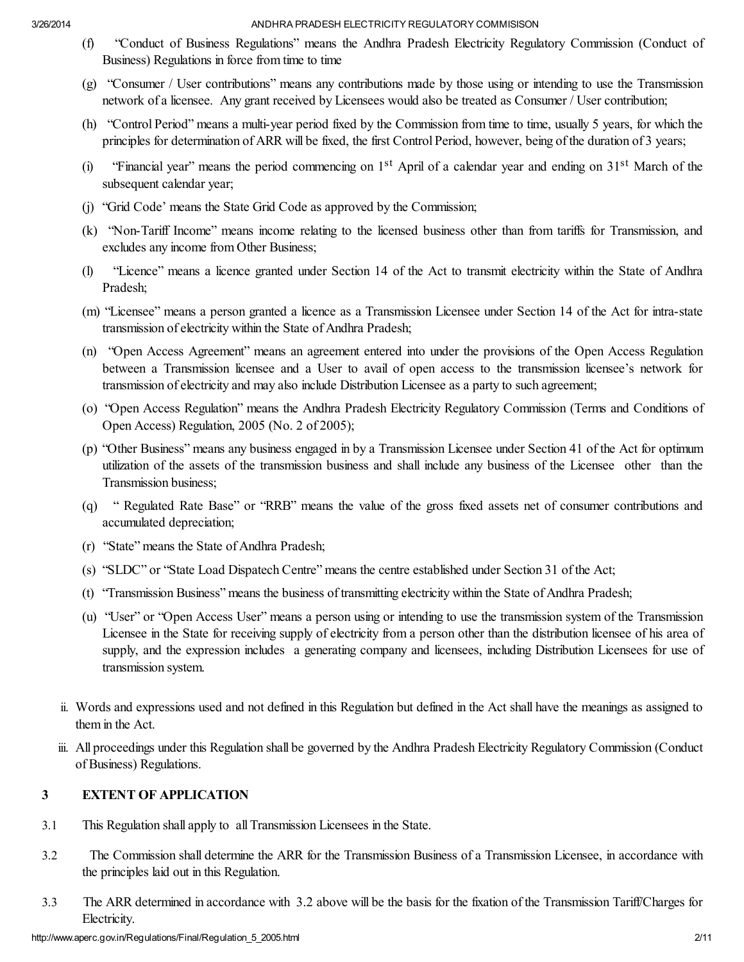- (f) "Conduct of Business Regulations" means the Andhra Pradesh Electricity Regulatory Commission (Conduct of Business) Regulations in force from time to time
- (g) "Consumer / User contributions" means any contributions made by those using or intending to use the Transmission network of a licensee. Any grant received by Licensees would also be treated as Consumer / User contribution;
- (h) "Control Period" means a multi-year period fixed by the Commission from time to time, usually 5 years, for which the principles for determination of ARR will be fixed, the first Control Period, however, being of the duration of 3 years;
- (i) "Financial year" means the period commencing on  $1<sup>st</sup>$  April of a calendar year and ending on  $31<sup>st</sup>$  March of the subsequent calendar year;
- (j) "Grid Code' means the State Grid Code as approved by the Commission;
- (k) "Non-Tariff Income" means income relating to the licensed business other than from tariffs for Transmission, and excludes any income from Other Business;
- (l) "Licence" means a licence granted under Section 14 of the Act to transmit electricity within the State of Andhra Pradesh;
- (m) "Licensee" means a person granted a licence as a Transmission Licensee under Section 14 of the Act for intra-state transmission of electricity within the State of Andhra Pradesh;
- (n) "Open Access Agreement" means an agreement entered into under the provisions of the Open Access Regulation between a Transmission licensee and a User to avail of open access to the transmission licensee's network for transmission of electricity and may also include Distribution Licensee as a party to such agreement;
- (o) "Open Access Regulation" means the Andhra Pradesh Electricity Regulatory Commission (Terms and Conditions of Open Access) Regulation, 2005 (No. 2 of 2005);
- (p) "Other Business" means any business engaged in by a Transmission Licensee under Section 41 of the Act for optimum utilization of the assets of the transmission business and shall include any business of the Licensee other than the Transmission business;
- (q) " Regulated Rate Base" or "RRB" means the value of the gross fixed assets net of consumer contributions and accumulated depreciation;
- (r) "State" means the State of Andhra Pradesh;
- (s) "SLDC" or "State Load Dispatech Centre" means the centre established under Section 31 of the Act;
- (t) "Transmission Business" means the business of transmitting electricity within the State of Andhra Pradesh;
- (u) "User" or "Open Access User" means a person using or intending to use the transmission system of the Transmission Licensee in the State for receiving supply of electricity from a person other than the distribution licensee of his area of supply, and the expression includes a generating company and licensees, including Distribution Licensees for use of transmission system.
- ii. Words and expressions used and not defined in this Regulation but defined in the Act shall have the meanings as assigned to them in the Act.
- iii. All proceedings under this Regulation shall be governed by the Andhra Pradesh Electricity Regulatory Commission (Conduct of Business) Regulations.

# 3 EXTENT OF APPLICATION

- 3.1 This Regulation shall apply to all Transmission Licensees in the State.
- 3.2 The Commission shall determine the ARR for the Transmission Business of a Transmission Licensee, in accordance with the principles laid out in this Regulation.
- 3.3 The ARR determined in accordance with 3.2 above will be the basis for the fixation of the Transmission Tariff/Charges for Electricity.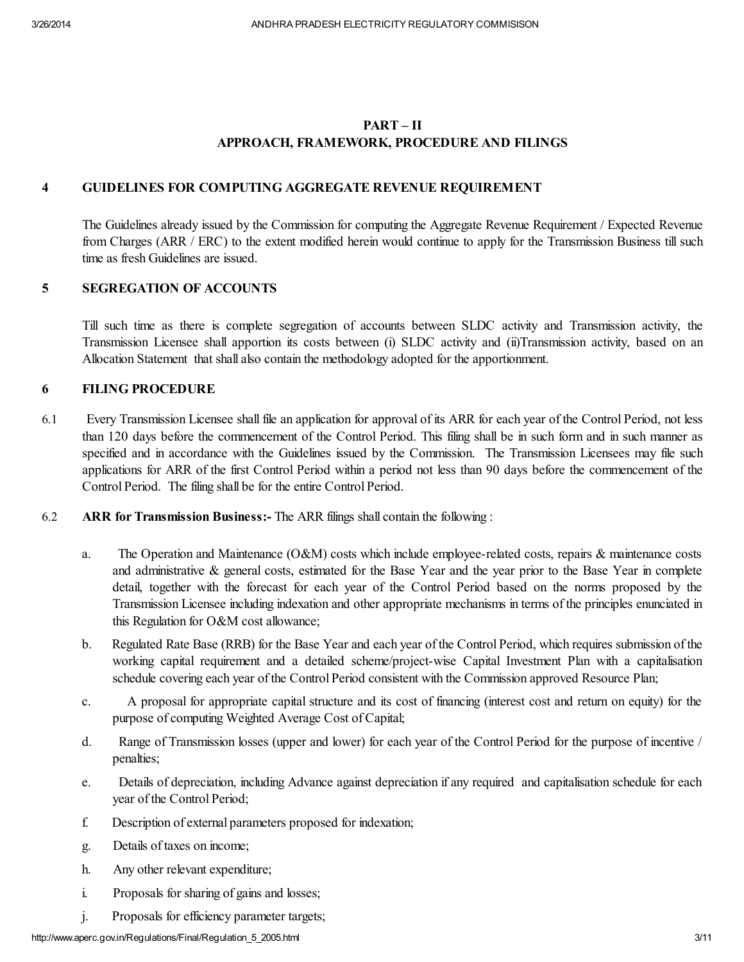# PART – II APPROACH, FRAMEWORK, PROCEDURE AND FILINGS

## 4 GUIDELINES FOR COMPUTING AGGREGATE REVENUE REQUIREMENT

The Guidelines already issued by the Commission for computing the Aggregate Revenue Requirement / Expected Revenue from Charges (ARR / ERC) to the extent modified herein would continue to apply for the Transmission Business till such time as fresh Guidelines are issued.

## 5 SEGREGATION OF ACCOUNTS

Till such time as there is complete segregation of accounts between SLDC activity and Transmission activity, the Transmission Licensee shall apportion its costs between (i) SLDC activity and (ii)Transmission activity, based on an Allocation Statement that shall also contain the methodology adopted for the apportionment.

## 6 FILING PROCEDURE

- 6.1 Every Transmission Licensee shall file an application for approval of its ARR for each year of the Control Period, not less than 120 days before the commencement of the Control Period. This filing shall be in such form and in such manner as specified and in accordance with the Guidelines issued by the Commission. The Transmission Licensees may file such applications for ARR of the first Control Period within a period not less than 90 days before the commencement of the Control Period. The filing shall be for the entire Control Period.
- 6.2 ARR for Transmission Business:- The ARR filings shall contain the following :
	- a. The Operation and Maintenance (O&M) costs which include employee-related costs, repairs & maintenance costs and administrative & general costs, estimated for the Base Year and the year prior to the Base Year in complete detail, together with the forecast for each year of the Control Period based on the norms proposed by the Transmission Licensee including indexation and other appropriate mechanisms in terms of the principles enunciated in this Regulation for O&M cost allowance;
	- b. Regulated Rate Base (RRB) for the Base Year and each year of the Control Period, which requires submission of the working capital requirement and a detailed scheme/project-wise Capital Investment Plan with a capitalisation schedule covering each year of the Control Period consistent with the Commission approved Resource Plan;
	- c. A proposal for appropriate capital structure and its cost of financing (interest cost and return on equity) for the purpose of computing Weighted Average Cost of Capital;
	- d. Range of Transmission losses (upper and lower) for each year of the Control Period for the purpose of incentive / penalties;
	- e. Details of depreciation, including Advance against depreciation if any required and capitalisation schedule for each year of the Control Period;
	- f. Description of external parameters proposed for indexation;
	- g. Details of taxes on income;
	- h. Any other relevant expenditure;
	- i. Proposals for sharing of gains and losses;
	- j. Proposals for efficiency parameter targets;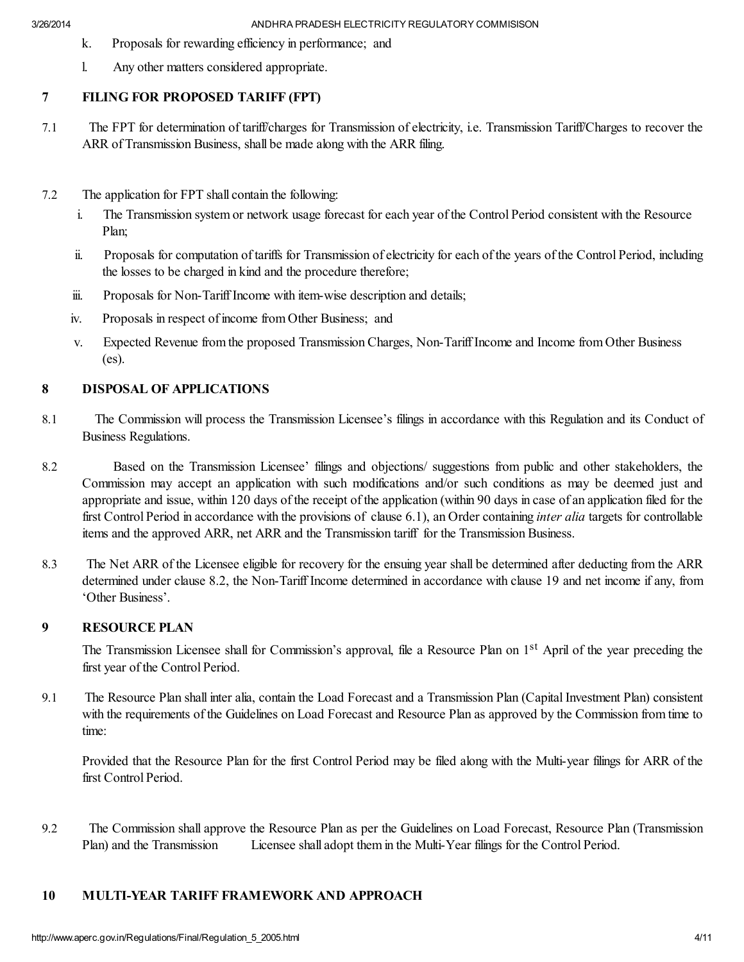- k. Proposals for rewarding efficiency in performance; and
- l. Any other matters considered appropriate.

# 7 FILING FOR PROPOSED TARIFF (FPT)

- 7.1 The FPT for determination of tariff/charges for Transmission of electricity, i.e. Transmission Tariff/Charges to recover the ARR of Transmission Business, shall be made along with the ARR filing.
- 7.2 The application for FPT shall contain the following:
	- i. The Transmission system or network usage forecast for each year of the Control Period consistent with the Resource Plan;
	- ii. Proposals for computation of tariffs for Transmission of electricity for each of the years of the Control Period, including the losses to be charged in kind and the procedure therefore;
	- iii. Proposals for Non-Tariff Income with item-wise description and details:
	- iv. Proposals in respect of income from Other Business; and
	- v. Expected Revenue from the proposed Transmission Charges, Non-Tariff Income and Income from Other Business (es).

# 8 DISPOSAL OF APPLICATIONS

- 8.1 The Commission will process the Transmission Licensee's filings in accordance with this Regulation and its Conduct of Business Regulations.
- 8.2 Based on the Transmission Licensee' filings and objections/ suggestions from public and other stakeholders, the Commission may accept an application with such modifications and/or such conditions as may be deemed just and appropriate and issue, within 120 days of the receipt of the application (within 90 days in case of an application filed for the first Control Period in accordance with the provisions of clause 6.1), an Order containing *inter alia* targets for controllable items and the approved ARR, net ARR and the Transmission tariff for the Transmission Business.
- 8.3 The Net ARR of the Licensee eligible for recovery for the ensuing year shall be determined after deducting from the ARR determined under clause 8.2, the Non-Tariff Income determined in accordance with clause 19 and net income if any, from 'Other Business'.

# 9 RESOURCE PLAN

The Transmission Licensee shall for Commission's approval, file a Resource Plan on 1<sup>st</sup> April of the year preceding the first year of the Control Period.

9.1 The Resource Plan shall inter alia, contain the Load Forecast and a Transmission Plan (Capital Investment Plan) consistent with the requirements of the Guidelines on Load Forecast and Resource Plan as approved by the Commission from time to time:

Provided that the Resource Plan for the first Control Period may be filed along with the Multi-year filings for ARR of the first Control Period.

9.2 The Commission shall approve the Resource Plan as per the Guidelines on Load Forecast, Resource Plan (Transmission Plan) and the Transmission Licensee shall adopt them in the Multi-Year filings for the Control Period.

# 10 MULTI-YEAR TARIFF FRAMEWORK AND APPROACH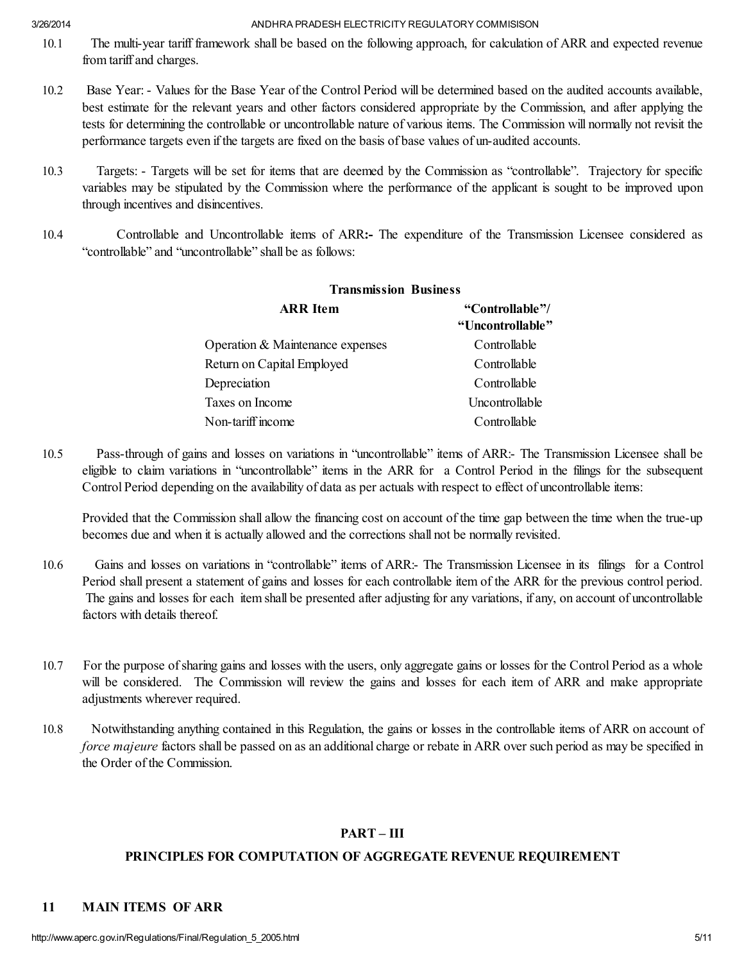- 10.1 The multi-year tariff framework shall be based on the following approach, for calculation of ARR and expected revenue from tariff and charges.
- 10.2 Base Year: Values for the Base Year of the Control Period will be determined based on the audited accounts available, best estimate for the relevant years and other factors considered appropriate by the Commission, and after applying the tests for determining the controllable or uncontrollable nature of various items. The Commission will normally not revisit the performance targets even if the targets are fixed on the basis of base values of un-audited accounts.
- 10.3 Targets: Targets will be set for items that are deemed by the Commission as "controllable". Trajectory for specific variables may be stipulated by the Commission where the performance of the applicant is sought to be improved upon through incentives and disincentives.
- 10.4 Controllable and Uncontrollable items of ARR:- The expenditure of the Transmission Licensee considered as "controllable" and "uncontrollable" shall be as follows:

| <b>ARR</b> Item                  | "Controllable"/<br>"Uncontrollable" |
|----------------------------------|-------------------------------------|
| Operation & Maintenance expenses | Controllable                        |
| Return on Capital Employed       | Controllable                        |
| Depreciation                     | Controllable                        |
| Taxes on Income                  | Uncontrollable                      |
| Non-tariff income                | Controllable                        |

# Transmission Business

10.5 Pass-through of gains and losses on variations in "uncontrollable" items of ARR:- The Transmission Licensee shall be eligible to claim variations in "uncontrollable" items in the ARR for a Control Period in the filings for the subsequent Control Period depending on the availability of data as per actuals with respect to effect of uncontrollable items:

Provided that the Commission shall allow the financing cost on account of the time gap between the time when the true-up becomes due and when it is actually allowed and the corrections shall not be normally revisited.

- 10.6 Gains and losses on variations in "controllable" items of ARR:- The Transmission Licensee in its filings for a Control Period shall present a statement of gains and losses for each controllable item of the ARR for the previous control period. The gains and losses for each item shall be presented after adjusting for any variations, if any, on account of uncontrollable factors with details thereof.
- 10.7 For the purpose ofsharing gains and losses with the users, only aggregate gains or losses for the Control Period as a whole will be considered. The Commission will review the gains and losses for each item of ARR and make appropriate adjustments wherever required.
- 10.8 Notwithstanding anything contained in this Regulation, the gains or losses in the controllable items of ARR on account of *force majeure* factors shall be passed on as an additional charge or rebate in ARR over such period as may be specified in the Order of the Commission.

# PART – III

# PRINCIPLES FOR COMPUTATION OF AGGREGATE REVENUE REQUIREMENT

# 11 MAIN ITEMS OF ARR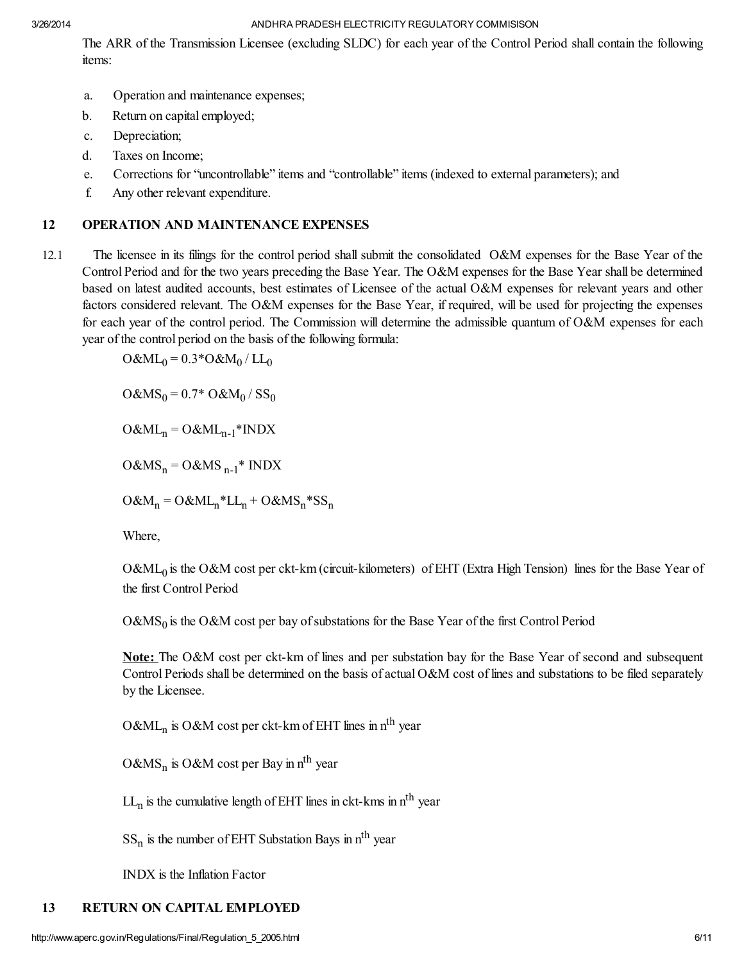The ARR of the Transmission Licensee (excluding SLDC) for each year of the Control Period shall contain the following items:

- a. Operation and maintenance expenses;
- b. Return on capital employed;
- c. Depreciation;
- d. Taxes on Income;
- e. Corrections for "uncontrollable" items and "controllable" items (indexed to external parameters); and
- f. Any other relevant expenditure.

# 12 OPERATION AND MAINTENANCE EXPENSES

12.1 The licensee in its filings for the control period shall submit the consolidated O&M expenses for the Base Year of the Control Period and for the two years preceding the Base Year. The O&M expenses for the Base Year shall be determined based on latest audited accounts, best estimates of Licensee of the actual O&M expenses for relevant years and other factors considered relevant. The O&M expenses for the Base Year, if required, will be used for projecting the expenses for each year of the control period. The Commission will determine the admissible quantum of O&M expenses for each year of the control period on the basis of the following formula:

 $O\&ML_0 = 0.3^*O\&M_0 / LL_0$ 

 $O\&MS_0 = 0.7^* O\&M_0 / SS_0$ 

 $O&ML_n = O&ML_{n-1} * INDX$ 

 $O\&MS_n = O\&MS_{n-1}^*$  INDX

 $O&M_n = O&ML_n * LL_n + O&MS_n * SS_n$ 

Where,

O&ML<sub>0</sub> is the O&M cost per ckt-km (circuit-kilometers) of EHT (Extra High Tension) lines for the Base Year of the first Control Period

 $O&MS<sub>0</sub>$  is the O&M cost per bay of substations for the Base Year of the first Control Period

Note: The O&M cost per ckt-km of lines and per substation bay for the Base Year of second and subsequent Control Periods shall be determined on the basis of actual O&M cost of lines and substations to be filed separately by the Licensee.

O&ML<sub>n</sub> is O&M cost per ckt-km of EHT lines in n<sup>th</sup> year

O&MS<sub>n</sub> is O&M cost per Bay in n<sup>th</sup> year

 $LL_n$  is the cumulative length of EHT lines in ckt-kms in  $n<sup>th</sup>$  year

 $SS_n$  is the number of EHT Substation Bays in  $n<sup>th</sup>$  year

INDX is the Inflation Factor

# 13 RETURN ON CAPITAL EMPLOYED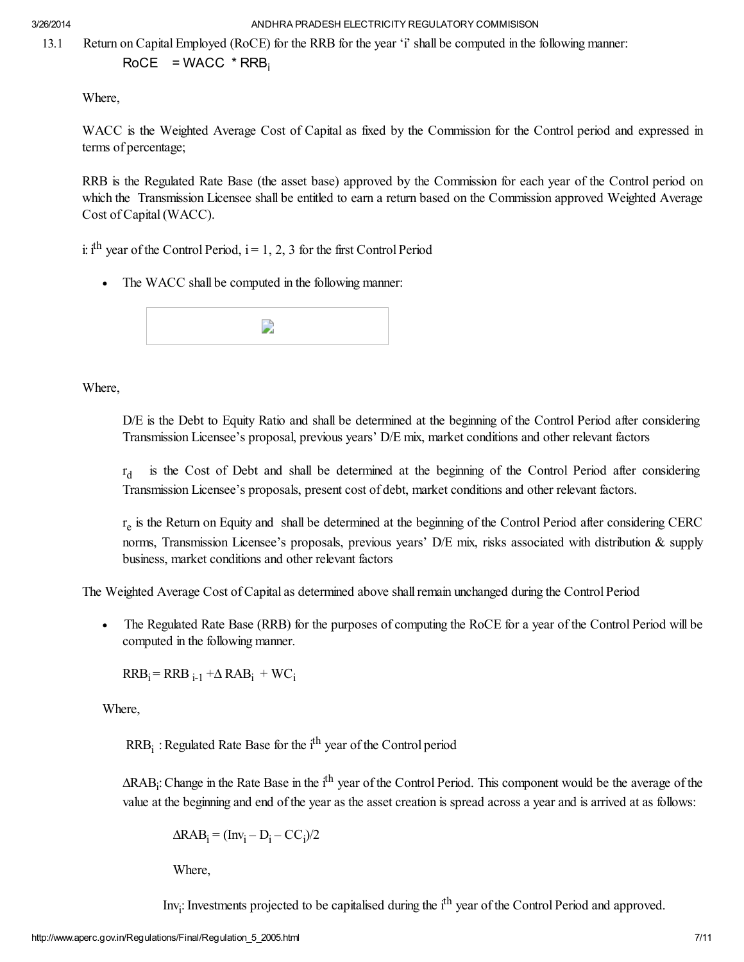13.1 Return on Capital Employed (RoCE) for the RRB for the year 'i' shall be computed in the following manner:

 $RoCE = WACC * RRB_i$ 

Where,

WACC is the Weighted Average Cost of Capital as fixed by the Commission for the Control period and expressed in terms of percentage;

RRB is the Regulated Rate Base (the asset base) approved by the Commission for each year of the Control period on which the Transmission Licensee shall be entitled to earn a return based on the Commission approved Weighted Average Cost of Capital(WACC).

i: i<sup>th</sup> year of the Control Period,  $i = 1, 2, 3$  for the first Control Period

· The WACC shall be computed in the following manner:



# Where,

D/E is the Debt to Equity Ratio and shall be determined at the beginning of the Control Period after considering Transmission Licensee's proposal, previous years' D/E mix, market conditions and other relevant factors

 $r_{d}$ is the Cost of Debt and shall be determined at the beginning of the Control Period after considering Transmission Licensee's proposals, present cost of debt, market conditions and other relevant factors.

 $r_e$  is the Return on Equity and shall be determined at the beginning of the Control Period after considering CERC norms, Transmission Licensee's proposals, previous years' D/E mix, risks associated with distribution & supply business, market conditions and other relevant factors

The Weighted Average Cost of Capital as determined above shallremain unchanged during the Control Period

The Regulated Rate Base (RRB) for the purposes of computing the RoCE for a year of the Control Period will be computed in the following manner.

 $RRB_i = RRB_{i-1} + \Delta RAB_i + WC_i$ 

Where,

 $RRB_i$ : Regulated Rate Base for the i<sup>th</sup> year of the Control period

∆RAB<sub>i</sub>: Change in the Rate Base in the i<sup>th</sup> year of the Control Period. This component would be the average of the value at the beginning and end of the year as the asset creation is spread across a year and is arrived at as follows:

$$
\Delta RAB_i = (Inv_i - D_i - CC_i)/2
$$

Where,

Inv<sub>i</sub>: Investments projected to be capitalised during the i<sup>th</sup> year of the Control Period and approved.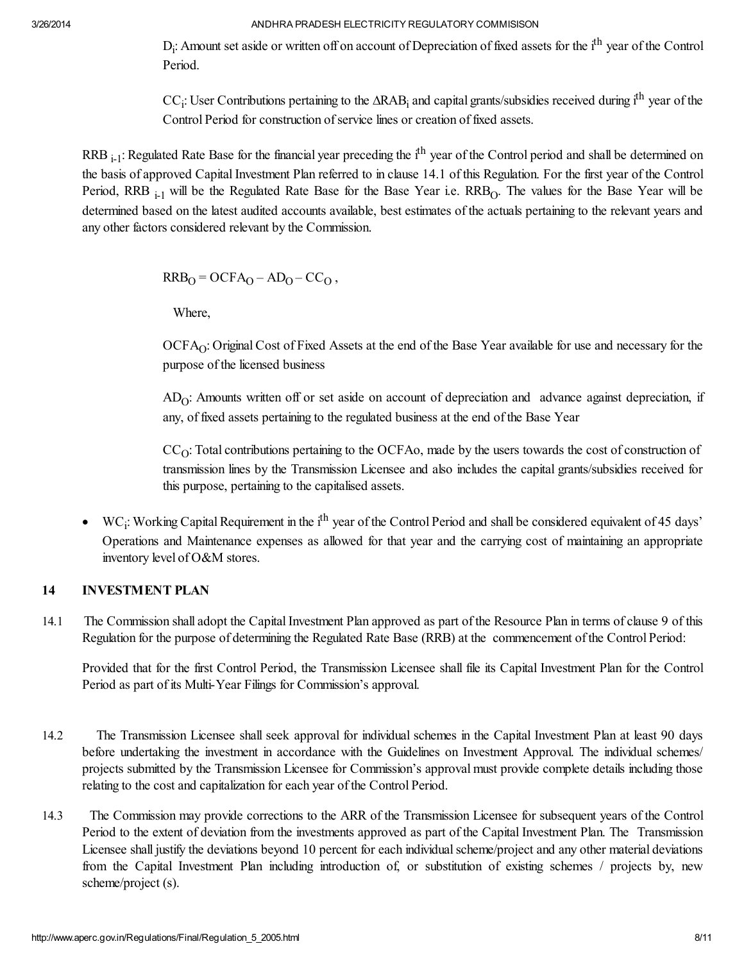$D_i$ : Amount set aside or written off on account of Depreciation of fixed assets for the  $i<sup>th</sup>$  year of the Control Period.

CC<sub>i</sub>: User Contributions pertaining to the ∆RAB<sub>i</sub> and capital grants/subsidies received during i<sup>th</sup> year of the Control Period for construction of service lines or creation of fixed assets.

RRB <sub>i-1</sub>: Regulated Rate Base for the financial year preceding the i<sup>th</sup> year of the Control period and shall be determined on the basis of approved Capital Investment Plan referred to in clause 14.1 of this Regulation. For the first year of the Control Period, RRB  $_{i-1}$  will be the Regulated Rate Base for the Base Year i.e. RRB<sub>O</sub>. The values for the Base Year will be determined based on the latest audited accounts available, best estimates of the actuals pertaining to the relevant years and any other factors considered relevant by the Commission.

 $RRB<sub>O</sub> = OCFA<sub>O</sub> - AD<sub>O</sub> - CC<sub>O</sub>$ ,

Where,

OCFA<sub>O</sub>: Original Cost of Fixed Assets at the end of the Base Year available for use and necessary for the purpose of the licensed business

 $AD<sub>O</sub>$ : Amounts written off or set aside on account of depreciation and advance against depreciation, if any, of fixed assets pertaining to the regulated business at the end of the Base Year

 $CC<sub>O</sub>$ : Total contributions pertaining to the OCFAo, made by the users towards the cost of construction of transmission lines by the Transmission Licensee and also includes the capital grants/subsidies received for this purpose, pertaining to the capitalised assets.

• WC<sub>i</sub>: Working Capital Requirement in the i<sup>th</sup> year of the Control Period and shall be considered equivalent of 45 days' Operations and Maintenance expenses as allowed for that year and the carrying cost of maintaining an appropriate inventory level of O&M stores.

# 14 INVESTMENT PLAN

14.1 The Commission shall adopt the Capital Investment Plan approved as part of the Resource Plan in terms of clause 9 of this Regulation for the purpose of determining the Regulated Rate Base (RRB) at the commencement of the Control Period:

Provided that for the first Control Period, the Transmission Licensee shall file its Capital Investment Plan for the Control Period as part of its Multi-Year Filings for Commission's approval.

- 14.2 The Transmission Licensee shall seek approval for individual schemes in the Capital Investment Plan at least 90 days before undertaking the investment in accordance with the Guidelines on Investment Approval. The individual schemes/ projects submitted by the Transmission Licensee for Commission's approval must provide complete details including those relating to the cost and capitalization for each year of the Control Period.
- 14.3 The Commission may provide corrections to the ARR of the Transmission Licensee for subsequent years of the Control Period to the extent of deviation from the investments approved as part of the Capital Investment Plan. The Transmission Licensee shall justify the deviations beyond 10 percent for each individualscheme/project and any other material deviations from the Capital Investment Plan including introduction of, or substitution of existing schemes / projects by, new scheme/project (s).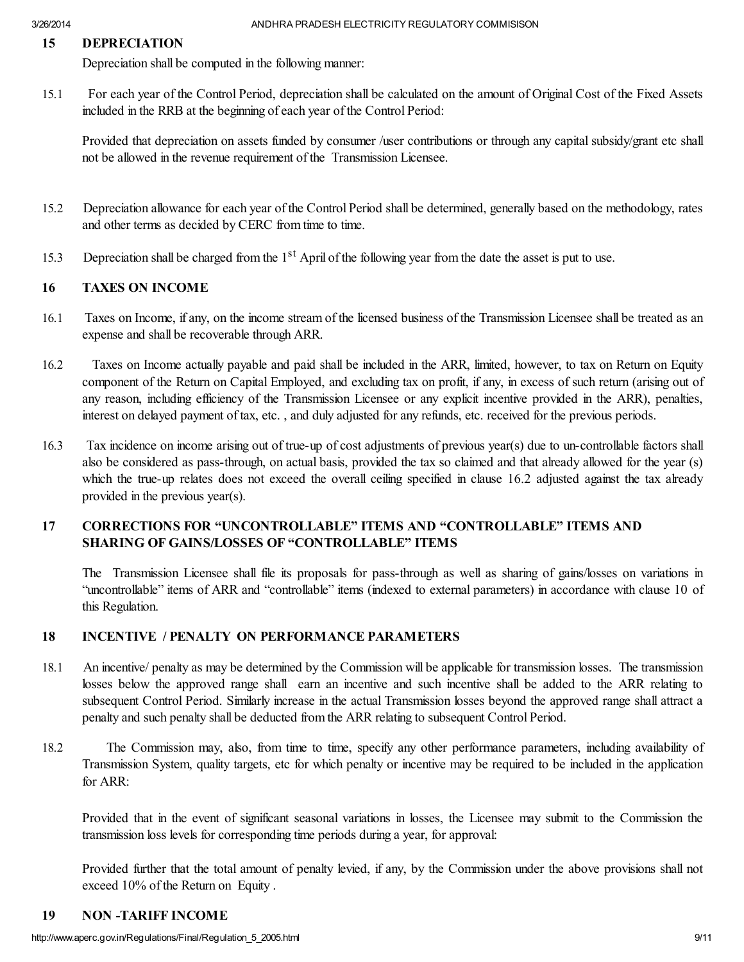## 15 DEPRECIATION

Depreciation shall be computed in the following manner:

15.1 For each year of the Control Period, depreciation shall be calculated on the amount of Original Cost of the Fixed Assets included in the RRB at the beginning of each year of the Control Period:

Provided that depreciation on assets funded by consumer /user contributions or through any capital subsidy/grant etc shall not be allowed in the revenue requirement of the Transmission Licensee.

- 15.2 Depreciation allowance for each year of the Control Period shall be determined, generally based on the methodology, rates and other terms as decided by CERC from time to time.
- 15.3 Depreciation shall be charged from the 1<sup>st</sup> April of the following year from the date the asset is put to use.

## 16 TAXES ON INCOME

- 16.1 Taxes on Income, if any, on the income stream of the licensed business of the Transmission Licensee shall be treated as an expense and shall be recoverable through ARR.
- 16.2 Taxes on Income actually payable and paid shall be included in the ARR, limited, however, to tax on Return on Equity component of the Return on Capital Employed, and excluding tax on profit, if any, in excess of such return (arising out of any reason, including efficiency of the Transmission Licensee or any explicit incentive provided in the ARR), penalties, interest on delayed payment of tax, etc. , and duly adjusted for any refunds, etc. received for the previous periods.
- 16.3 Tax incidence on income arising out of true-up of cost adjustments of previous year(s) due to un-controllable factors shall also be considered as pass-through, on actual basis, provided the tax so claimed and that already allowed for the year (s) which the true-up relates does not exceed the overall ceiling specified in clause 16.2 adjusted against the tax already provided in the previous year(s).

# 17 CORRECTIONS FOR "UNCONTROLLABLE" ITEMS AND "CONTROLLABLE" ITEMS AND SHARING OF GAINS/LOSSES OF "CONTROLLABLE" ITEMS

The Transmission Licensee shall file its proposals for pass-through as well as sharing of gains/losses on variations in "uncontrollable" items of ARR and "controllable" items (indexed to external parameters) in accordance with clause 10 of this Regulation.

# 18 INCENTIVE / PENALTY ON PERFORMANCE PARAMETERS

- 18.1 An incentive/ penalty as may be determined by the Commission will be applicable for transmission losses. The transmission losses below the approved range shall earn an incentive and such incentive shall be added to the ARR relating to subsequent Control Period. Similarly increase in the actual Transmission losses beyond the approved range shall attract a penalty and such penalty shall be deducted from the ARR relating to subsequent Control Period.
- 18.2 The Commission may, also, from time to time, specify any other performance parameters, including availability of Transmission System, quality targets, etc for which penalty or incentive may be required to be included in the application for ARR:

Provided that in the event of significant seasonal variations in losses, the Licensee may submit to the Commission the transmission loss levels for corresponding time periods during a year, for approval:

Provided further that the total amount of penalty levied, if any, by the Commission under the above provisions shall not exceed 10% of the Return on Equity .

## 19 NON -TARIFF INCOME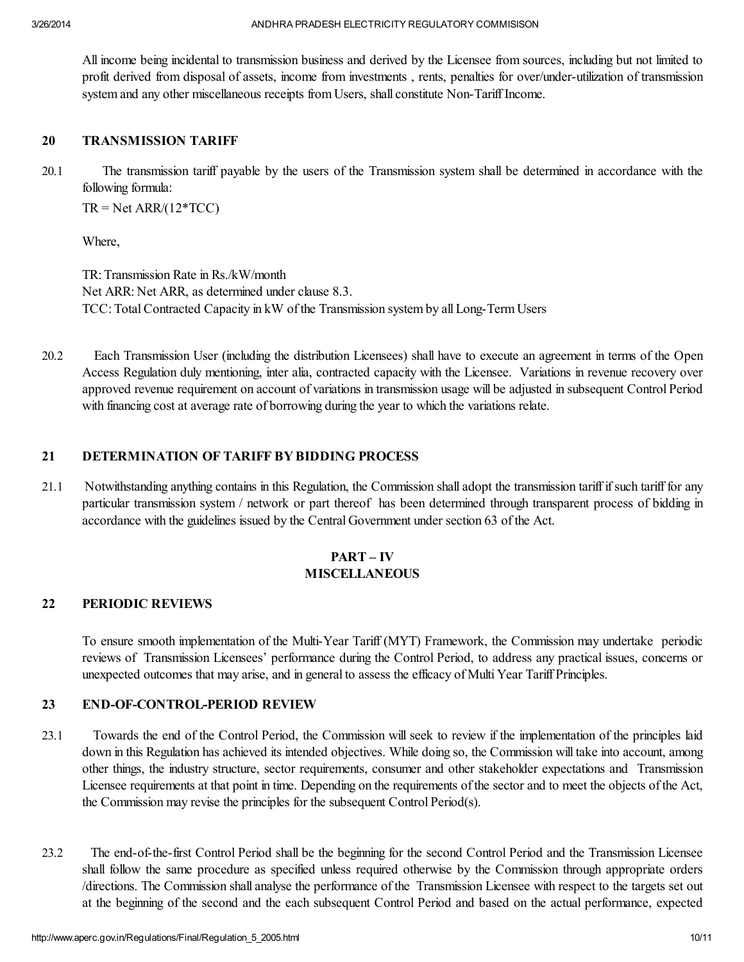All income being incidental to transmission business and derived by the Licensee from sources, including but not limited to profit derived from disposal of assets, income from investments , rents, penalties for over/under-utilization of transmission system and any other miscellaneous receipts from Users, shall constitute Non-Tariff Income.

## 20 TRANSMISSION TARIFF

20.1 The transmission tariff payable by the users of the Transmission system shall be determined in accordance with the following formula:

 $TR = Net ARR/(12*TCC)$ 

Where,

TR: Transmission Rate in Rs./kW/month Net ARR: Net ARR, as determined under clause 8.3. TCC: TotalContracted Capacity in kW of the Transmission system by all Long-Term Users

20.2 Each Transmission User (including the distribution Licensees) shall have to execute an agreement in terms of the Open Access Regulation duly mentioning, inter alia, contracted capacity with the Licensee. Variations in revenue recovery over approved revenue requirement on account of variations in transmission usage will be adjusted in subsequent Control Period with financing cost at average rate of borrowing during the year to which the variations relate.

## 21 DETERMINATION OF TARIFF BY BIDDING PROCESS

21.1 Notwithstanding anything contains in this Regulation, the Commission shall adopt the transmission tariff ifsuch tariff for any particular transmission system / network or part thereof has been determined through transparent process of bidding in accordance with the guidelines issued by the Central Government under section 63 of the Act.

# PART – IV MISCELLANEOUS

## 22 PERIODIC REVIEWS

To ensure smooth implementation of the Multi-Year Tariff (MYT) Framework, the Commission may undertake periodic reviews of Transmission Licensees' performance during the Control Period, to address any practical issues, concerns or unexpected outcomes that may arise, and in general to assess the efficacy of Multi Year Tariff Principles.

## 23 END-OF-CONTROL-PERIOD REVIEW

- 23.1 Towards the end of the Control Period, the Commission will seek to review if the implementation of the principles laid down in this Regulation has achieved its intended objectives. While doing so, the Commission will take into account, among other things, the industry structure, sector requirements, consumer and other stakeholder expectations and Transmission Licensee requirements at that point in time. Depending on the requirements of the sector and to meet the objects of the Act, the Commission may revise the principles for the subsequent Control Period(s).
- 23.2 The end-of-the-first Control Period shall be the beginning for the second Control Period and the Transmission Licensee shall follow the same procedure as specified unless required otherwise by the Commission through appropriate orders /directions. The Commission shall analyse the performance of the Transmission Licensee with respect to the targets set out at the beginning of the second and the each subsequent Control Period and based on the actual performance, expected